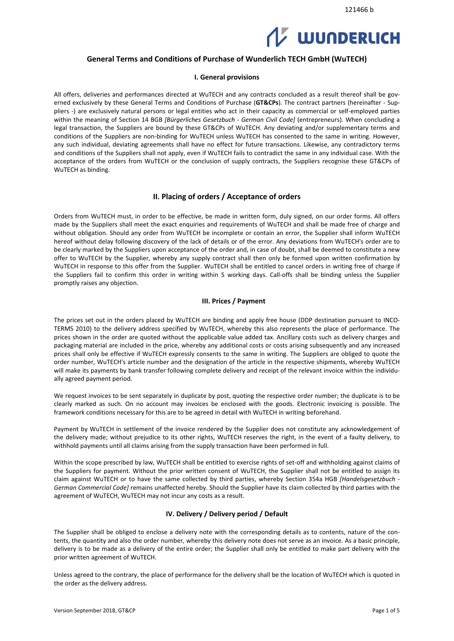# **WUNDERLICH**

# **General Terms and Conditions of Purchase of Wunderlich TECH GmbH (WuTECH)**

#### **I. General provisions**

All offers, deliveries and performances directed at WuTECH and any contracts concluded as a result thereof shall be governed exclusively by these General Terms and Conditions of Purchase (**GT&CPs**). The contract partners (hereinafter - Suppliers -) are exclusively natural persons or legal entities who act in their capacity as commercial or self-employed parties within the meaning of Section 14 BGB *[Bürgerliches Gesetzbuch - German Civil Code]* (entrepreneurs). When concluding a legal transaction, the Suppliers are bound by these GT&CPs of WuTECH. Any deviating and/or supplementary terms and conditions of the Suppliers are non-binding for WuTECH unless WuTECH has consented to the same in writing. However, any such individual, deviating agreements shall have no effect for future transactions. Likewise, any contradictory terms and conditions of the Suppliers shall not apply, even if WuTECH fails to contradict the same in any individual case. With the acceptance of the orders from WuTECH or the conclusion of supply contracts, the Suppliers recognise these GT&CPs of WuTECH as binding.

# **II. Placing of orders / Acceptance of orders**

Orders from WuTECH must, in order to be effective, be made in written form, duly signed, on our order forms. All offers made by the Suppliers shall meet the exact enquiries and requirements of WuTECH and shall be made free of charge and without obligation. Should any order from WuTECH be incomplete or contain an error, the Supplier shall inform WuTECH hereof without delay following discovery of the lack of details or of the error. Any deviations from WuTECH's order are to be clearly marked by the Suppliers upon acceptance of the order and, in case of doubt, shall be deemed to constitute a new offer to WuTECH by the Supplier, whereby any supply contract shall then only be formed upon written confirmation by WuTECH in response to this offer from the Supplier. WuTECH shall be entitled to cancel orders in writing free of charge if the Suppliers fail to confirm this order in writing within 5 working days. Call-offs shall be binding unless the Supplier promptly raises any objection.

#### **III. Prices / Payment**

The prices set out in the orders placed by WuTECH are binding and apply free house (DDP destination pursuant to INCO-TERMS 2010) to the delivery address specified by WuTECH, whereby this also represents the place of performance. The prices shown in the order are quoted without the applicable value added tax. Ancillary costs such as delivery charges and packaging material are included in the price, whereby any additional costs or costs arising subsequently and any increased prices shall only be effective if WuTECH expressly consents to the same in writing. The Suppliers are obliged to quote the order number, WuTECH's article number and the designation of the article in the respective shipments, whereby WuTECH will make its payments by bank transfer following complete delivery and receipt of the relevant invoice within the individually agreed payment period.

We request invoices to be sent separately in duplicate by post, quoting the respective order number; the duplicate is to be clearly marked as such. On no account may invoices be enclosed with the goods. Electronic invoicing is possible. The framework conditions necessary for this are to be agreed in detail with WuTECH in writing beforehand.

Payment by WuTECH in settlement of the invoice rendered by the Supplier does not constitute any acknowledgement of the delivery made; without prejudice to its other rights, WuTECH reserves the right, in the event of a faulty delivery, to withhold payments until all claims arising from the supply transaction have been performed in full.

Within the scope prescribed by law, WuTECH shall be entitled to exercise rights of set-off and withholding against claims of the Suppliers for payment. Without the prior written consent of WuTECH, the Supplier shall not be entitled to assign its claim against WuTECH or to have the same collected by third parties, whereby Section 354a HGB *[Handelsgesetzbuch - German Commercial Code]* remains unaffected hereby. Should the Supplier have its claim collected by third parties with the agreement of WuTECH, WuTECH may not incur any costs as a result.

#### **IV. Delivery / Delivery period / Default**

The Supplier shall be obliged to enclose a delivery note with the corresponding details as to contents, nature of the contents, the quantity and also the order number, whereby this delivery note does not serve as an invoice. As a basic principle, delivery is to be made as a delivery of the entire order; the Supplier shall only be entitled to make part delivery with the prior written agreement of WuTECH.

Unless agreed to the contrary, the place of performance for the delivery shall be the location of WuTECH which is quoted in the order as the delivery address.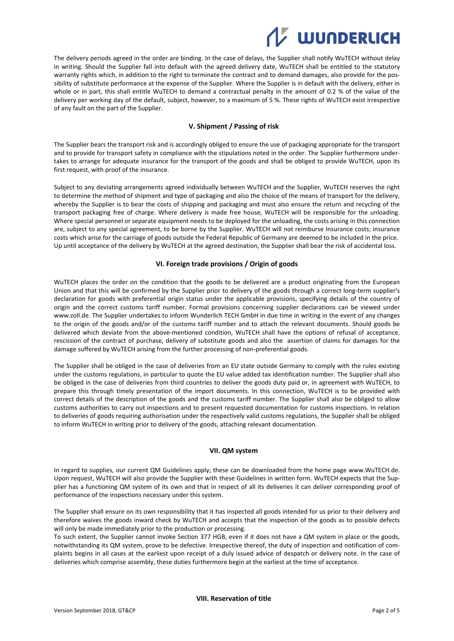

The delivery periods agreed in the order are binding. In the case of delays, the Supplier shall notify WuTECH without delay in writing. Should the Supplier fall into default with the agreed delivery date, WuTECH shall be entitled to the statutory warranty rights which, in addition to the right to terminate the contract and to demand damages, also provide for the possibility of substitute performance at the expense of the Supplier. Where the Supplier is in default with the delivery, either in whole or in part, this shall entitle WuTECH to demand a contractual penalty in the amount of 0.2 % of the value of the delivery per working day of the default, subject, however, to a maximum of 5 %. These rights of WuTECH exist irrespective of any fault on the part of the Supplier.

#### **V. Shipment / Passing of risk**

The Supplier bears the transport risk and is accordingly obliged to ensure the use of packaging appropriate for the transport and to provide for transport safety in compliance with the stipulations noted in the order. The Supplier furthermore undertakes to arrange for adequate insurance for the transport of the goods and shall be obliged to provide WuTECH, upon its first request, with proof of the insurance.

Subject to any deviating arrangements agreed individually between WuTECH and the Supplier, WuTECH reserves the right to determine the method of shipment and type of packaging and also the choice of the means of transport for the delivery, whereby the Supplier is to bear the costs of shipping and packaging and must also ensure the return and recycling of the transport packaging free of charge. Where delivery is made free house, WuTECH will be responsible for the unloading. Where special personnel or separate equipment needs to be deployed for the unloading, the costs arising in this connection are, subject to any special agreement, to be borne by the Supplier. WuTECH will not reimburse Insurance costs; insurance costs which arise for the carriage of goods outside the Federal Republic of Germany are deemed to be included in the price. Up until acceptance of the delivery by WuTECH at the agreed destination, the Supplier shall bear the risk of accidental loss.

#### **VI. Foreign trade provisions / Origin of goods**

WuTECH places the order on the condition that the goods to be delivered are a product originating from the European Union and that this will be confirmed by the Supplier prior to delivery of the goods through a correct long-term supplier's declaration for goods with preferential origin status under the applicable provisions, specifying details of the country of origin and the correct customs tariff number. Formal provisions concerning supplier declarations can be viewed under [www.zoll.de.](http://www.zoll.de/) The Supplier undertakes to inform Wunderlich TECH GmbH in due time in writing in the event of any changes to the origin of the goods and/or of the customs tariff number and to attach the relevant documents. Should goods be delivered which deviate from the above-mentioned condition, WuTECH shall have the options of refusal of acceptance, rescission of the contract of purchase, delivery of substitute goods and also the assertion of claims for damages for the damage suffered by WuTECH arising from the further processing of non-preferential goods.

The Supplier shall be obliged in the case of deliveries from an EU state outside Germany to comply with the rules existing under the customs regulations, in particular to quote the EU value added tax identification number. The Supplier shall also be obliged in the case of deliveries from third countries to deliver the goods duty paid or, in agreement with WuTECH, to prepare this through timely presentation of the import documents. In this connection, WuTECH is to be provided with correct details of the description of the goods and the customs tariff number. The Supplier shall also be obliged to allow customs authorities to carry out inspections and to present requested documentation for customs inspections. In relation to deliveries of goods requiring authorisation under the respectively valid customs regulations, the Supplier shall be obliged to inform WuTECH in writing prior to delivery of the goods, attaching relevant documentation.

#### **VII. QM system**

In regard to supplies, our current QM Guidelines apply; these can be downloaded from the home page [www.WuTECH.de.](http://www.friedola.de/) Upon request, WuTECH will also provide the Supplier with these Guidelines in written form. WuTECH expects that the Supplier has a functioning QM system of its own and that in respect of all its deliveries it can deliver corresponding proof of performance of the inspections necessary under this system.

The Supplier shall ensure on its own responsibility that it has inspected all goods intended for us prior to their delivery and therefore waives the goods inward check by WuTECH and accepts that the inspection of the goods as to possible defects will only be made immediately prior to the production or processing.

To such extent, the Supplier cannot invoke Section 377 HGB, even if it does not have a QM system in place or the goods, notwithstanding its QM system, prove to be defective. Irrespective thereof, the duty of inspection and notification of complaints begins in all cases at the earliest upon receipt of a duly issued advice of despatch or delivery note. In the case of deliveries which comprise assembly, these duties furthermore begin at the earliest at the time of acceptance.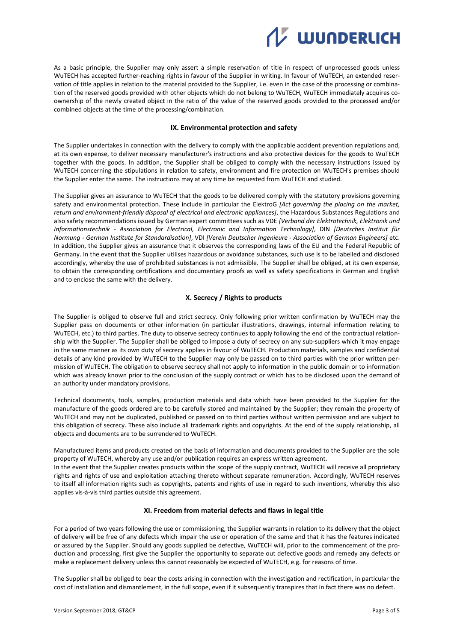

As a basic principle, the Supplier may only assert a simple reservation of title in respect of unprocessed goods unless WuTECH has accepted further-reaching rights in favour of the Supplier in writing. In favour of WuTECH, an extended reservation of title applies in relation to the material provided to the Supplier, i.e. even in the case of the processing or combination of the reserved goods provided with other objects which do not belong to WuTECH, WuTECH immediately acquires coownership of the newly created object in the ratio of the value of the reserved goods provided to the processed and/or combined objects at the time of the processing/combination.

#### **IX. Environmental protection and safety**

The Supplier undertakes in connection with the delivery to comply with the applicable accident prevention regulations and, at its own expense, to deliver necessary manufacturer's instructions and also protective devices for the goods to WuTECH together with the goods. In addition, the Supplier shall be obliged to comply with the necessary instructions issued by WuTECH concerning the stipulations in relation to safety, environment and fire protection on WuTECH's premises should the Supplier enter the same. The instructions may at any time be requested from WuTECH and studied.

The Supplier gives an assurance to WuTECH that the goods to be delivered comply with the statutory provisions governing safety and environmental protection. These include in particular the ElektroG *[Act governing the placing on the market, return and environment-friendly disposal of electrical and electronic appliances]*, the Hazardous Substances Regulations and also safety recommendations issued by German expert committees such as VDE *[Verband der Elektrotechnik, Elektronik und Informationstechnik - Association for Electrical, Electronic and Information Technology]*, DIN *[Deutsches Institut für Normung - German Institute for Standardisation]*, VDI *[Verein Deutscher Ingenieure - Association of German Engineers]* etc. In addition, the Supplier gives an assurance that it observes the corresponding laws of the EU and the Federal Republic of Germany. In the event that the Supplier utilises hazardous or avoidance substances, such use is to be labelled and disclosed accordingly, whereby the use of prohibited substances is not admissible. The Supplier shall be obliged, at its own expense, to obtain the corresponding certifications and documentary proofs as well as safety specifications in German and English and to enclose the same with the delivery.

# **X. Secrecy / Rights to products**

The Supplier is obliged to observe full and strict secrecy. Only following prior written confirmation by WuTECH may the Supplier pass on documents or other information (in particular illustrations, drawings, internal information relating to WuTECH, etc.) to third parties. The duty to observe secrecy continues to apply following the end of the contractual relationship with the Supplier. The Supplier shall be obliged to impose a duty of secrecy on any sub-suppliers which it may engage in the same manner as its own duty of secrecy applies in favour of WuTECH. Production materials, samples and confidential details of any kind provided by WuTECH to the Supplier may only be passed on to third parties with the prior written permission of WuTECH. The obligation to observe secrecy shall not apply to information in the public domain or to information which was already known prior to the conclusion of the supply contract or which has to be disclosed upon the demand of an authority under mandatory provisions.

Technical documents, tools, samples, production materials and data which have been provided to the Supplier for the manufacture of the goods ordered are to be carefully stored and maintained by the Supplier; they remain the property of WuTECH and may not be duplicated, published or passed on to third parties without written permission and are subject to this obligation of secrecy. These also include all trademark rights and copyrights. At the end of the supply relationship, all objects and documents are to be surrendered to WuTECH.

Manufactured items and products created on the basis of information and documents provided to the Supplier are the sole property of WuTECH, whereby any use and/or publication requires an express written agreement. In the event that the Supplier creates products within the scope of the supply contract, WuTECH will receive all proprietary rights and rights of use and exploitation attaching thereto without separate remuneration. Accordingly, WuTECH reserves to itself all information rights such as copyrights, patents and rights of use in regard to such inventions, whereby this also applies vis-à-vis third parties outside this agreement.

# **XI. Freedom from material defects and flaws in legal title**

For a period of two years following the use or commissioning, the Supplier warrants in relation to its delivery that the object of delivery will be free of any defects which impair the use or operation of the same and that it has the features indicated or assured by the Supplier. Should any goods supplied be defective, WuTECH will, prior to the commencement of the production and processing, first give the Supplier the opportunity to separate out defective goods and remedy any defects or make a replacement delivery unless this cannot reasonably be expected of WuTECH, e.g. for reasons of time.

The Supplier shall be obliged to bear the costs arising in connection with the investigation and rectification, in particular the cost of installation and dismantlement, in the full scope, even if it subsequently transpires that in fact there was no defect.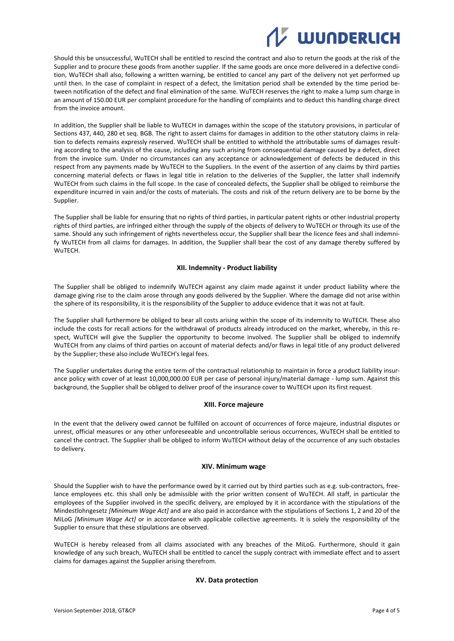# **WUNDERLICH**

Should this be unsuccessful, WuTECH shall be entitled to rescind the contract and also to return the goods at the risk of the Supplier and to procure these goods from another supplier. If the same goods are once more delivered in a defective condition, WuTECH shall also, following a written warning, be entitled to cancel any part of the delivery not yet performed up until then. In the case of complaint in respect of a defect, the limitation period shall be extended by the time period between notification of the defect and final elimination of the same. WuTECH reserves the right to make a lump sum charge in an amount of 150.00 EUR per complaint procedure for the handling of complaints and to deduct this handling charge direct from the invoice amount.

In addition, the Supplier shall be liable to WuTECH in damages within the scope of the statutory provisions, in particular of Sections 437, 440, 280 et seq. BGB. The right to assert claims for damages in addition to the other statutory claims in relation to defects remains expressly reserved. WuTECH shall be entitled to withhold the attributable sums of damages resulting according to the analysis of the cause, including any such arising from consequential damage caused by a defect, direct from the invoice sum. Under no circumstances can any acceptance or acknowledgement of defects be deduced in this respect from any payments made by WuTECH to the Suppliers. In the event of the assertion of any claims by third parties concerning material defects or flaws in legal title in relation to the deliveries of the Supplier, the latter shall indemnify WuTECH from such claims in the full scope. In the case of concealed defects, the Supplier shall be obliged to reimburse the expenditure incurred in vain and/or the costs of materials. The costs and risk of the return delivery are to be borne by the Supplier.

The Supplier shall be liable for ensuring that no rights of third parties, in particular patent rights or other industrial property rights of third parties, are infringed either through the supply of the objects of delivery to WuTECH or through its use of the same. Should any such infringement of rights nevertheless occur, the Supplier shall bear the licence fees and shall indemnify WuTECH from all claims for damages. In addition, the Supplier shall bear the cost of any damage thereby suffered by WuTECH.

#### **XII. Indemnity - Product liability**

The Supplier shall be obliged to indemnify WuTECH against any claim made against it under product liability where the damage giving rise to the claim arose through any goods delivered by the Supplier. Where the damage did not arise within the sphere of its responsibility, it is the responsibility of the Supplier to adduce evidence that it was not at fault.

The Supplier shall furthermore be obliged to bear all costs arising within the scope of its indemnity to WuTECH. These also include the costs for recall actions for the withdrawal of products already introduced on the market, whereby, in this respect, WuTECH will give the Supplier the opportunity to become involved. The Supplier shall be obliged to indemnify WuTECH from any claims of third parties on account of material defects and/or flaws in legal title of any product delivered by the Supplier; these also include WuTECH's legal fees.

The Supplier undertakes during the entire term of the contractual relationship to maintain in force a product liability insurance policy with cover of at least 10,000,000.00 EUR per case of personal injury/material damage - lump sum. Against this background, the Supplier shall be obliged to deliver proof of the insurance cover to WuTECH upon its first request.

#### **XIII. Force majeure**

In the event that the delivery owed cannot be fulfilled on account of occurrences of force majeure, industrial disputes or unrest, official measures or any other unforeseeable and uncontrollable serious occurrences, WuTECH shall be entitled to cancel the contract. The Supplier shall be obliged to inform WuTECH without delay of the occurrence of any such obstacles to delivery.

#### **XIV. Minimum wage**

Should the Supplier wish to have the performance owed by it carried out by third parties such as e.g. sub-contractors, freelance employees etc. this shall only be admissible with the prior written consent of WuTECH. All staff, in particular the employees of the Supplier involved in the specific delivery, are employed by it in accordance with the stipulations of the Mindestlohngesetz *[Minimum Wage Act]* and are also paid in accordance with the stipulations of Sections 1, 2 and 20 of the MiLoG *[Minimum Wage Act]* or in accordance with applicable collective agreements. It is solely the responsibility of the Supplier to ensure that these stipulations are observed.

WuTECH is hereby released from all claims associated with any breaches of the MiLoG. Furthermore, should it gain knowledge of any such breach, WuTECH shall be entitled to cancel the supply contract with immediate effect and to assert claims for damages against the Supplier arising therefrom.

# **XV. Data protection**